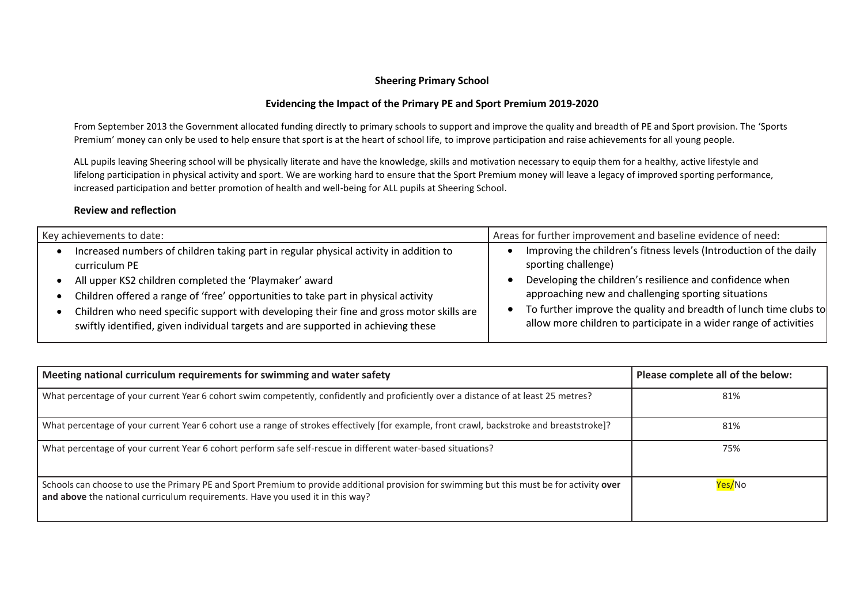## **Sheering Primary School**

## **Evidencing the Impact of the Primary PE and Sport Premium 2019-2020**

From September 2013 the Government allocated funding directly to primary schools to support and improve the quality and breadth of PE and Sport provision. The 'Sports Premium' money can only be used to help ensure that sport is at the heart of school life, to improve participation and raise achievements for all young people.

ALL pupils leaving Sheering school will be physically literate and have the knowledge, skills and motivation necessary to equip them for a healthy, active lifestyle and lifelong participation in physical activity and sport. We are working hard to ensure that the Sport Premium money will leave a legacy of improved sporting performance, increased participation and better promotion of health and well-being for ALL pupils at Sheering School.

## **Review and reflection**

| Key achievements to date:                                                                | Areas for further improvement and baseline evidence of need:       |
|------------------------------------------------------------------------------------------|--------------------------------------------------------------------|
| Increased numbers of children taking part in regular physical activity in addition to    | Improving the children's fitness levels (Introduction of the daily |
| curriculum PE                                                                            | sporting challenge)                                                |
| All upper KS2 children completed the 'Playmaker' award                                   | Developing the children's resilience and confidence when           |
| Children offered a range of 'free' opportunities to take part in physical activity       | approaching new and challenging sporting situations                |
| Children who need specific support with developing their fine and gross motor skills are | To further improve the quality and breadth of lunch time clubs to  |
| swiftly identified, given individual targets and are supported in achieving these        | allow more children to participate in a wider range of activities  |

| Meeting national curriculum requirements for swimming and water safety                                                                                                                                                      | Please complete all of the below: |
|-----------------------------------------------------------------------------------------------------------------------------------------------------------------------------------------------------------------------------|-----------------------------------|
| What percentage of your current Year 6 cohort swim competently, confidently and proficiently over a distance of at least 25 metres?                                                                                         | 81%                               |
| What percentage of your current Year 6 cohort use a range of strokes effectively [for example, front crawl, backstroke and breaststroke]?                                                                                   | 81%                               |
| What percentage of your current Year 6 cohort perform safe self-rescue in different water-based situations?                                                                                                                 | 75%                               |
| Schools can choose to use the Primary PE and Sport Premium to provide additional provision for swimming but this must be for activity over<br>and above the national curriculum requirements. Have you used it in this way? | Yes/No                            |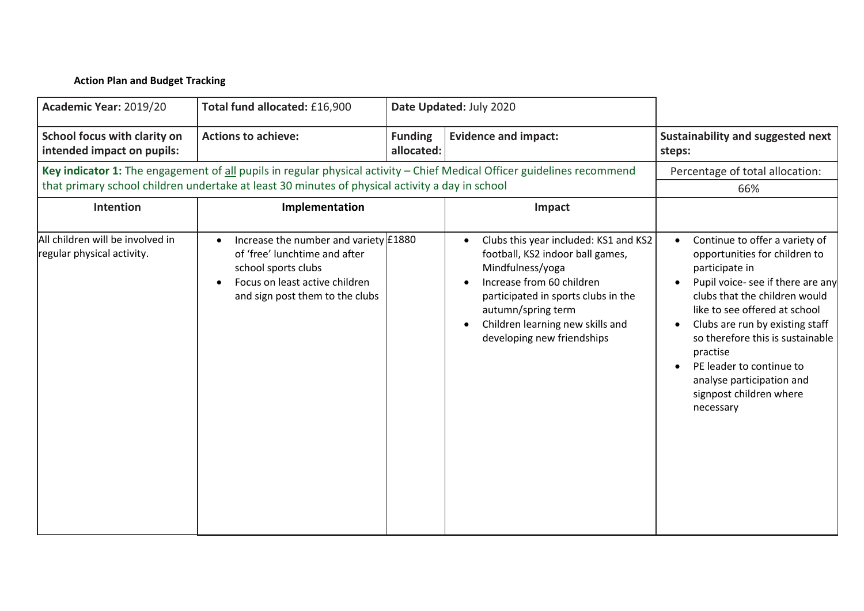## **Action Plan and Budget Tracking**

| Academic Year: 2019/20                                         | Total fund allocated: £16,900                                                                                                                                      |                              | Date Updated: July 2020                                                                                                                                                                                                                                   |                                                                                                                                                                                                                                                                                                                                                                              |
|----------------------------------------------------------------|--------------------------------------------------------------------------------------------------------------------------------------------------------------------|------------------------------|-----------------------------------------------------------------------------------------------------------------------------------------------------------------------------------------------------------------------------------------------------------|------------------------------------------------------------------------------------------------------------------------------------------------------------------------------------------------------------------------------------------------------------------------------------------------------------------------------------------------------------------------------|
| School focus with clarity on<br>intended impact on pupils:     | <b>Actions to achieve:</b>                                                                                                                                         | <b>Funding</b><br>allocated: | <b>Evidence and impact:</b>                                                                                                                                                                                                                               | Sustainability and suggested next<br>steps:                                                                                                                                                                                                                                                                                                                                  |
|                                                                | that primary school children undertake at least 30 minutes of physical activity a day in school                                                                    |                              | Key indicator 1: The engagement of all pupils in regular physical activity - Chief Medical Officer guidelines recommend                                                                                                                                   | Percentage of total allocation:                                                                                                                                                                                                                                                                                                                                              |
|                                                                |                                                                                                                                                                    |                              |                                                                                                                                                                                                                                                           | 66%                                                                                                                                                                                                                                                                                                                                                                          |
| Intention                                                      | Implementation                                                                                                                                                     |                              | Impact                                                                                                                                                                                                                                                    |                                                                                                                                                                                                                                                                                                                                                                              |
| All children will be involved in<br>regular physical activity. | Increase the number and variety £1880<br>of 'free' lunchtime and after<br>school sports clubs<br>Focus on least active children<br>and sign post them to the clubs |                              | Clubs this year included: KS1 and KS2<br>football, KS2 indoor ball games,<br>Mindfulness/yoga<br>Increase from 60 children<br>participated in sports clubs in the<br>autumn/spring term<br>Children learning new skills and<br>developing new friendships | Continue to offer a variety of<br>opportunities for children to<br>participate in<br>Pupil voice- see if there are any<br>clubs that the children would<br>like to see offered at school<br>Clubs are run by existing staff<br>so therefore this is sustainable<br>practise<br>PE leader to continue to<br>analyse participation and<br>signpost children where<br>necessary |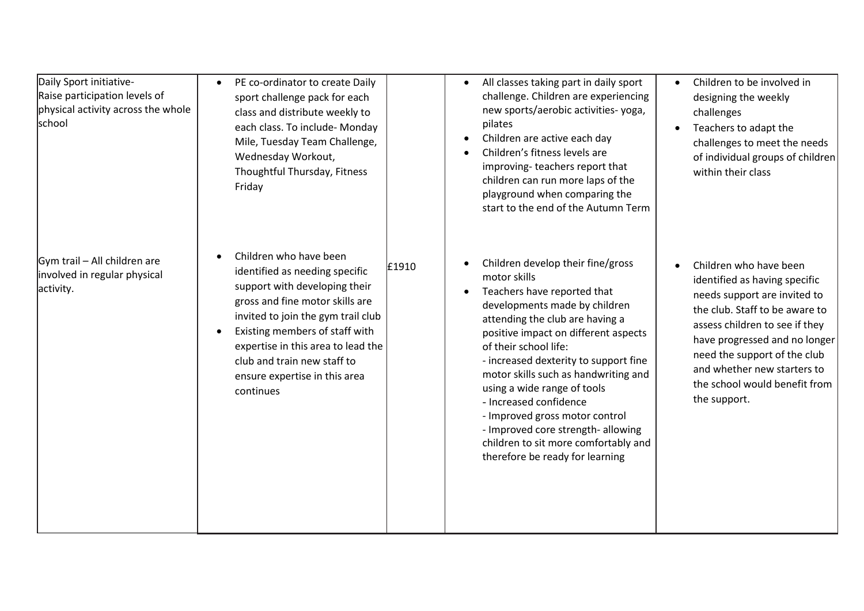| Daily Sport initiative-<br>Raise participation levels of<br>physical activity across the whole<br><b>school</b> | PE co-ordinator to create Daily<br>sport challenge pack for each<br>class and distribute weekly to<br>each class. To include- Monday<br>Mile, Tuesday Team Challenge,<br>Wednesday Workout,<br>Thoughtful Thursday, Fitness<br>Friday                                                                                   |       | All classes taking part in daily sport<br>challenge. Children are experiencing<br>new sports/aerobic activities-yoga,<br>pilates<br>Children are active each day<br>Children's fitness levels are<br>improving-teachers report that<br>children can run more laps of the<br>playground when comparing the<br>start to the end of the Autumn Term                                                                                                                                                                   | Children to be involved in<br>designing the weekly<br>challenges<br>Teachers to adapt the<br>challenges to meet the needs<br>of individual groups of children<br>within their class                                                                                                                          |
|-----------------------------------------------------------------------------------------------------------------|-------------------------------------------------------------------------------------------------------------------------------------------------------------------------------------------------------------------------------------------------------------------------------------------------------------------------|-------|--------------------------------------------------------------------------------------------------------------------------------------------------------------------------------------------------------------------------------------------------------------------------------------------------------------------------------------------------------------------------------------------------------------------------------------------------------------------------------------------------------------------|--------------------------------------------------------------------------------------------------------------------------------------------------------------------------------------------------------------------------------------------------------------------------------------------------------------|
| Gym trail - All children are<br>involved in regular physical<br>activity.                                       | Children who have been<br>identified as needing specific<br>support with developing their<br>gross and fine motor skills are<br>invited to join the gym trail club<br>Existing members of staff with<br>expertise in this area to lead the<br>club and train new staff to<br>ensure expertise in this area<br>continues | £1910 | Children develop their fine/gross<br>motor skills<br>Teachers have reported that<br>developments made by children<br>attending the club are having a<br>positive impact on different aspects<br>of their school life:<br>- increased dexterity to support fine<br>motor skills such as handwriting and<br>using a wide range of tools<br>- Increased confidence<br>- Improved gross motor control<br>- Improved core strength- allowing<br>children to sit more comfortably and<br>therefore be ready for learning | Children who have been<br>identified as having specific<br>needs support are invited to<br>the club. Staff to be aware to<br>assess children to see if they<br>have progressed and no longer<br>need the support of the club<br>and whether new starters to<br>the school would benefit from<br>the support. |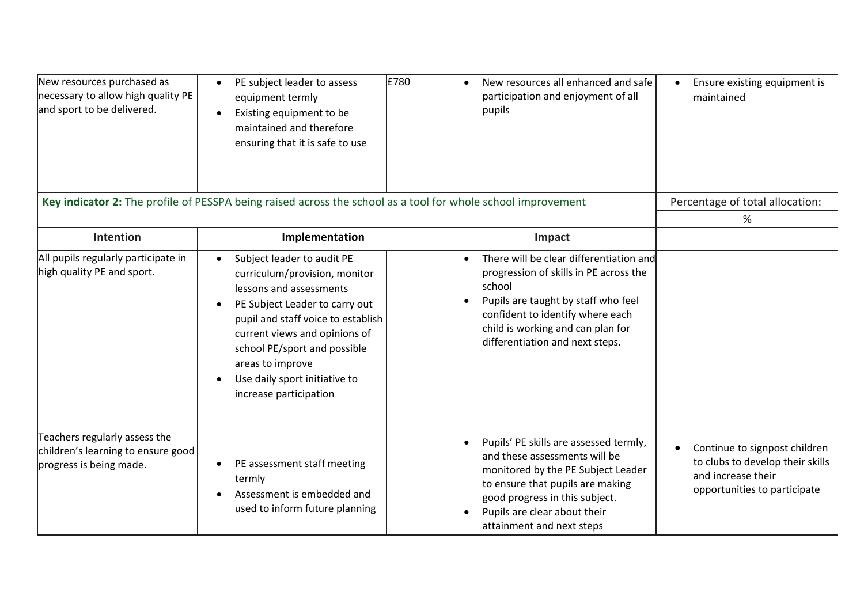| New resources purchased as<br>necessary to allow high quality PE<br>and sport to be delivered. | PE subject leader to assess<br>$\bullet$<br>equipment termly<br>Existing equipment to be<br>maintained and therefore<br>ensuring that it is safe to use                                                                                                                                                        | £780 | New resources all enhanced and safe<br>participation and enjoyment of all<br>pupils                                                                                                                                                              | Ensure existing equipment is<br>maintained                                                                              |
|------------------------------------------------------------------------------------------------|----------------------------------------------------------------------------------------------------------------------------------------------------------------------------------------------------------------------------------------------------------------------------------------------------------------|------|--------------------------------------------------------------------------------------------------------------------------------------------------------------------------------------------------------------------------------------------------|-------------------------------------------------------------------------------------------------------------------------|
|                                                                                                | Key indicator 2: The profile of PESSPA being raised across the school as a tool for whole school improvement                                                                                                                                                                                                   |      |                                                                                                                                                                                                                                                  | Percentage of total allocation:                                                                                         |
|                                                                                                |                                                                                                                                                                                                                                                                                                                |      |                                                                                                                                                                                                                                                  | %                                                                                                                       |
| <b>Intention</b>                                                                               | Implementation                                                                                                                                                                                                                                                                                                 |      | Impact                                                                                                                                                                                                                                           |                                                                                                                         |
| All pupils regularly participate in<br>high quality PE and sport.                              | Subject leader to audit PE<br>curriculum/provision, monitor<br>lessons and assessments<br>PE Subject Leader to carry out<br>pupil and staff voice to establish<br>current views and opinions of<br>school PE/sport and possible<br>areas to improve<br>Use daily sport initiative to<br>increase participation |      | There will be clear differentiation and<br>progression of skills in PE across the<br>school<br>Pupils are taught by staff who feel<br>confident to identify where each<br>child is working and can plan for<br>differentiation and next steps.   |                                                                                                                         |
| Teachers regularly assess the<br>children's learning to ensure good<br>progress is being made. | PE assessment staff meeting<br>termly<br>Assessment is embedded and<br>used to inform future planning                                                                                                                                                                                                          |      | Pupils' PE skills are assessed termly,<br>and these assessments will be<br>monitored by the PE Subject Leader<br>to ensure that pupils are making<br>good progress in this subject.<br>Pupils are clear about their<br>attainment and next steps | Continue to signpost children<br>to clubs to develop their skills<br>and increase their<br>opportunities to participate |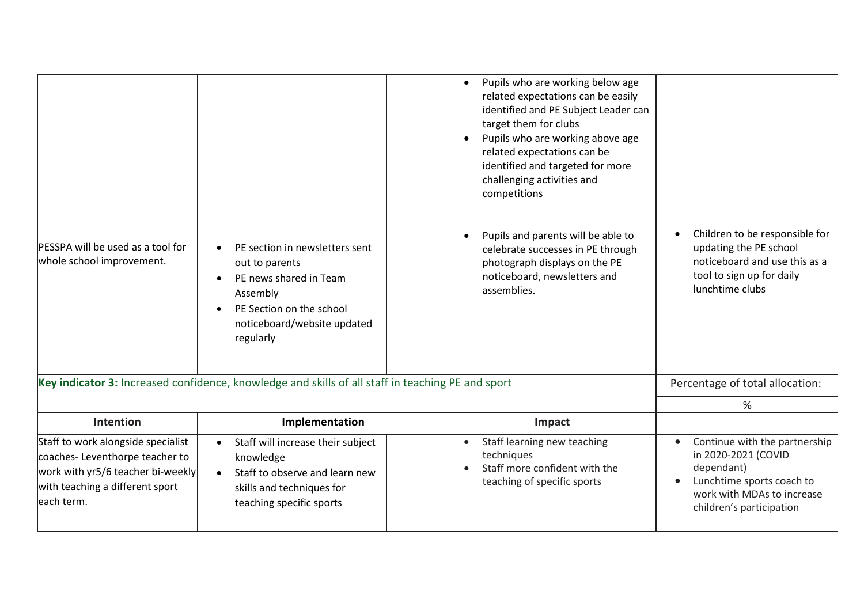| <b>PESSPA will be used as a tool for</b><br>whole school improvement.                                                                                      | PE section in newsletters sent<br>out to parents<br>PE news shared in Team<br>$\bullet$<br>Assembly<br>PE Section on the school<br>noticeboard/website updated<br>regularly | Pupils who are working below age<br>$\bullet$<br>related expectations can be easily<br>identified and PE Subject Leader can<br>target them for clubs<br>Pupils who are working above age<br>related expectations can be<br>identified and targeted for more<br>challenging activities and<br>competitions<br>Pupils and parents will be able to<br>celebrate successes in PE through<br>photograph displays on the PE<br>noticeboard, newsletters and<br>assemblies. | Children to be responsible for<br>updating the PE school<br>noticeboard and use this as a<br>tool to sign up for daily<br>lunchtime clubs                 |
|------------------------------------------------------------------------------------------------------------------------------------------------------------|-----------------------------------------------------------------------------------------------------------------------------------------------------------------------------|----------------------------------------------------------------------------------------------------------------------------------------------------------------------------------------------------------------------------------------------------------------------------------------------------------------------------------------------------------------------------------------------------------------------------------------------------------------------|-----------------------------------------------------------------------------------------------------------------------------------------------------------|
|                                                                                                                                                            | Key indicator 3: Increased confidence, knowledge and skills of all staff in teaching PE and sport                                                                           |                                                                                                                                                                                                                                                                                                                                                                                                                                                                      | Percentage of total allocation:                                                                                                                           |
|                                                                                                                                                            |                                                                                                                                                                             |                                                                                                                                                                                                                                                                                                                                                                                                                                                                      | %                                                                                                                                                         |
| Intention                                                                                                                                                  | Implementation                                                                                                                                                              | Impact                                                                                                                                                                                                                                                                                                                                                                                                                                                               |                                                                                                                                                           |
| Staff to work alongside specialist<br>coaches-Leventhorpe teacher to<br>work with yr5/6 teacher bi-weekly<br>with teaching a different sport<br>each term. | Staff will increase their subject<br>knowledge<br>Staff to observe and learn new<br>skills and techniques for<br>teaching specific sports                                   | Staff learning new teaching<br>techniques<br>Staff more confident with the<br>teaching of specific sports                                                                                                                                                                                                                                                                                                                                                            | Continue with the partnership<br>in 2020-2021 (COVID<br>dependant)<br>Lunchtime sports coach to<br>work with MDAs to increase<br>children's participation |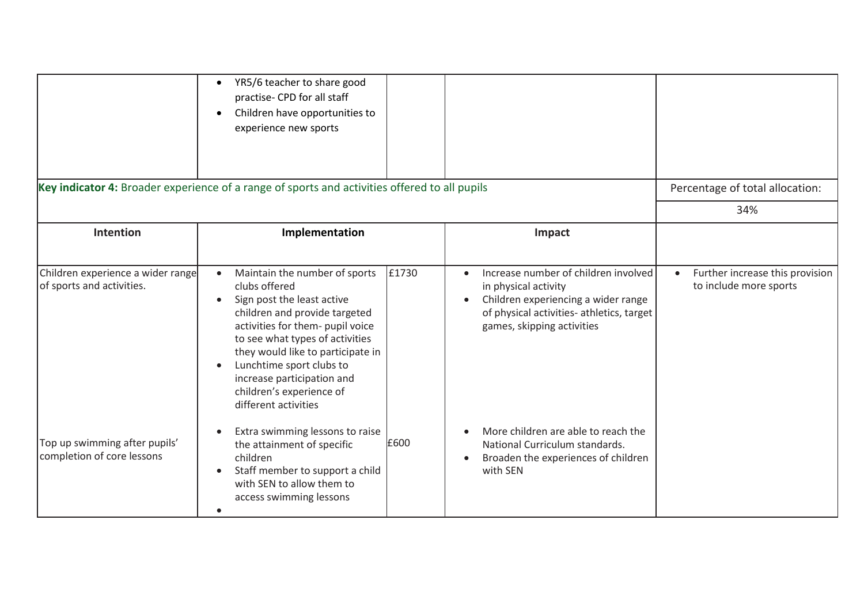|                                                                | YR5/6 teacher to share good<br>$\bullet$<br>practise- CPD for all staff<br>Children have opportunities to<br>experience new sports                                                                                                                                                                                                                   |       |                                                                                                                                                                                             |                                                           |
|----------------------------------------------------------------|------------------------------------------------------------------------------------------------------------------------------------------------------------------------------------------------------------------------------------------------------------------------------------------------------------------------------------------------------|-------|---------------------------------------------------------------------------------------------------------------------------------------------------------------------------------------------|-----------------------------------------------------------|
|                                                                | Key indicator 4: Broader experience of a range of sports and activities offered to all pupils                                                                                                                                                                                                                                                        |       |                                                                                                                                                                                             | Percentage of total allocation:                           |
|                                                                |                                                                                                                                                                                                                                                                                                                                                      |       |                                                                                                                                                                                             | 34%                                                       |
| Intention                                                      | Implementation                                                                                                                                                                                                                                                                                                                                       |       | Impact                                                                                                                                                                                      |                                                           |
| Children experience a wider range<br>of sports and activities. | Maintain the number of sports<br>$\bullet$<br>clubs offered<br>Sign post the least active<br>children and provide targeted<br>activities for them- pupil voice<br>to see what types of activities<br>they would like to participate in<br>Lunchtime sport clubs to<br>increase participation and<br>children's experience of<br>different activities | £1730 | Increase number of children involved<br>$\bullet$<br>in physical activity<br>Children experiencing a wider range<br>of physical activities- athletics, target<br>games, skipping activities | Further increase this provision<br>to include more sports |
| Top up swimming after pupils'<br>completion of core lessons    | Extra swimming lessons to raise<br>the attainment of specific<br>children<br>Staff member to support a child<br>with SEN to allow them to<br>access swimming lessons<br>$\bullet$                                                                                                                                                                    | £600  | More children are able to reach the<br>National Curriculum standards.<br>Broaden the experiences of children<br>with SEN                                                                    |                                                           |